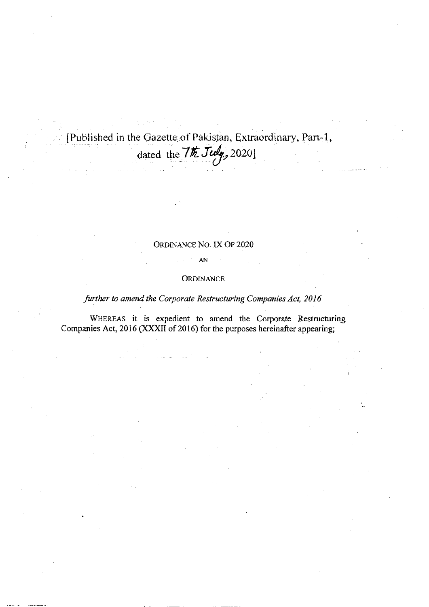[Published in the Gazette of Pakistan, Extraordinary, Part-1, dated the 7th July, 2020]

## ORDINANCE NO. IX OF 2020

#### ${\sf A}{\sf N}$

### ORDINANCE

## further to amend the Corporate Restructuring Companies Act, 2016

WHEREAS it is expedient to amend the Corporate Restructuring Companies Act, 2016 (XXXII of 2016) for the purposes hereinafter appearing;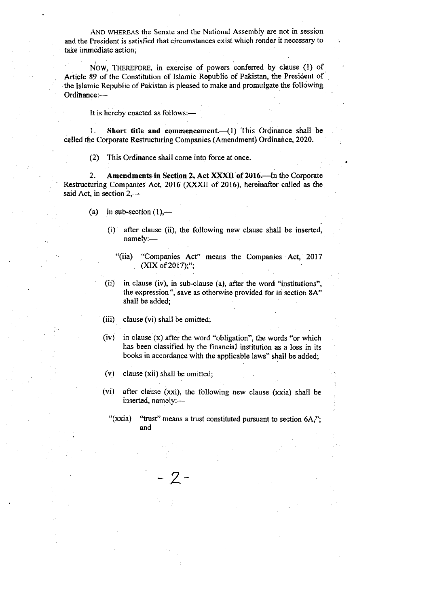. AND WHEREAS the Senate and the National Assembly are not in session and the President is satisfied that circumstances exist which render it neccssary to take immediate action;

NOW, THEREFORE, in exercise of powers conferred by clause (1) of Article 89 of the Constitution of Islamic Republic of Pakistan, the President of the Islamic Republic of Pakistan is pleased to make and promulgate the following Ordinance:-

It is hereby enacted as follows:-

1. Short title and commencement.  $\left(1\right)$  This Ordinance shall be called the Corporate Restructuring Companies (Amendment) Ordinance, 2020.

(2) This Ordinance shall come into force at once.

2. Amendments in Section 2, Act XXXII of 2016.-In the Corporate Restructuring Companies Act, 2016 (XXXII of 2016), hereinafter called as the said Act, in section  $2,$ —

- (a) in sub-section  $(1)$ ,—
	- (i) after clause (ii), the following new clause shall be inserted, namely:-
		- "(iia) "Companies Act" means the Companies Act, 2017  $(XIX of 2017);$ ";
	- (ii) in clause (iv), in sub-clause (a), after the word "institutions", the expression", save as otherwise provided for in section 8A" shall be added;
	- (iii) clause (vi) shall be omitted;
	- (iv) in clause (x) after the word "obligation", the words "or which has been classified by the financial institution as a loss in its books in accordance with the applicable laws" shall be added;
	- (v) clause (xii) shall be omitted;

 $\gamma$  –

(vi) after clause (xxi), the following new clause (xxia) shall be inserted, namely:---

<sup>&</sup>quot;(xxia) "trust" means a trust constituted pursuant to section  $6A$ ,"; and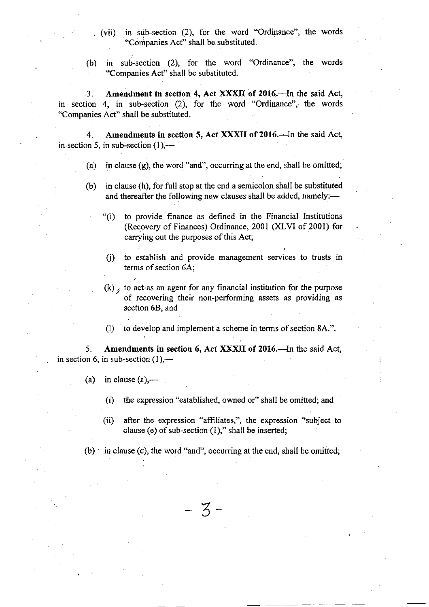- (vii) in sub-section (2), for the word "Ordinance", the words "Companies Act" shall be substituted.
- (b) in sub-section (2), for the word "Ordinance", the words "Companies Act" shall be substituted.

3. Amendment in section 4, Act XXXII of 2016.-- In the said Act, in section 4, in sub-section  $(2)$ , for the word "Ordinance", the words "Companies Act" shatl be substituted.

4. Amendments in section 5, Act XXXII of 2016.—In the said Act, in section 5, in sub-section  $(1)$ ,---

- (a) in clause  $(g)$ , the word "and", occurring at the end, shall be omitted;
- (b) in clause (h), for full stop at the end a semicolon shall be substituted and thereafter the following new clauses shall be added, namely:-
	- "(i) to provide finance as defined in the Financial Institutions (Recovery of Finances) Ordinance, 2001 (XLVI of 2001) for carrying out the purposes of this Act;
	- (i) to establish and provide management services to trusts in terms of section 6A;
	- $(k)$ , to act as an agent for any financial institution for the purpose of recovering their non-performing assets as providing as section 68, and
	- (l) to develop and implement a scheme in terms of section 8A.".

5. Amendments in section 6, Act XXXII of 2016.—In the said Act, in section 6, in sub-section  $(1)$ ,—

- (a) in clause  $(a)$ ,—
	- (i) the expression "established, owned or" shall be omitted; and
	- (ii) after the expression "affiliates,", the expression "subject to clause (e) of sub-section  $(1)$ ," shall be inserted;

 $(b)$  in clause (c), the word "and", occurring at the end, shall be omitted;

- 3-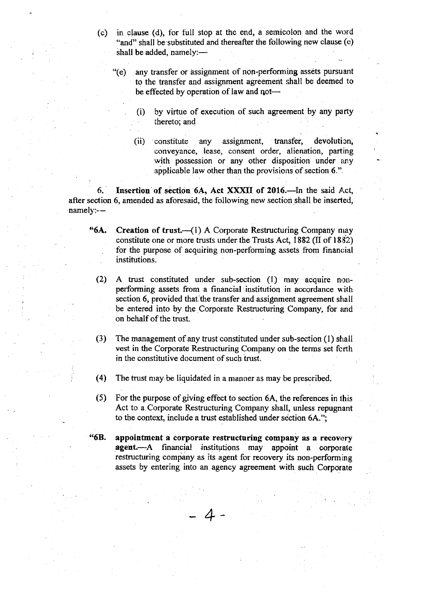$(c)$  in clause (d), for full stop at the end, a semicolon and the word "and" shall be substituted and thereafter the following new clause (e) shall be added, namely:-

(e) any transfer or assignment of non-performing assets pursuant to the transfer and assignment agreement shall be deemed to be effected by operation of law and not-

- (i) by virtue of execution of such agreement by any party thereto; and
- $(ii)$  constitute any assignment, transfer, devolution, conveyance, Iease, consent order, alienation, parting with possession or any other disposition under any applicable law other than the provisions of section 6.".

6. Insertion of section 6A, Act XXXII of 2016.-In the said Act, after section 6, amended as aforesaid, the following new section shall be inserted, namely:--

- \*6A. Creation of trust.{i) A Corporate Restructuring Company nray constitute one or more trusts under the Trusts Act,  $1882$  (II of  $1832$ ) for the purpose of acquiring non-performing assets from financial institutions.
	- $(2)$  A trust constituted under sub-section  $(1)$  may acquire nonperforming assets from a financial institution in accordance u'ith section 6, provided that the transfer and assignment agreement shall be entered into by the Corporate Restructuring Company, for and on behalf of the trust.
	- (3) The management of any trust constituted under sub-section (l) shall vest in the Corporate Restructuring Company on the terms set forth in the constitutive document of such trust.
	- (4) The trust may. be liquidated in a manner as may be prescribed.
	- (5) For the purpose of giving effect to section 6A, the references in this Act to a. Corporate Restructuring Company shall, unless repugnant to the context, include a trust established under section  $6A$ .";
- "6B. appointment a corporate restructuring company as a recovery agent.---A financial institutions may appoint a corporate restructuring company as its agent for recovery its non-performing assets by entering into an agency agreement with such Corporate

4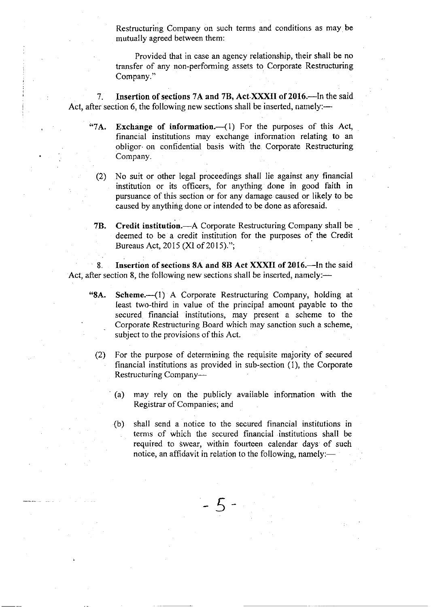Restructuring Company on such terms and conditions as may be mutually agreed between thern:

Provided that in case an agency relationship, their shall be no transfer of any non-performing assets to Corporate Restrucfuring Company."

7. Insertion of sections 7A and 7B, Act XXXII of 2016.—In the said Act, after section 6, the following new sections shall be inserted, namely:—

"7A. Exchange of information. $-(1)$  For the purposes of this Act, financial institutions may exchange information relating to an obligor on confidential basis with the Corporate Restructuring Company.

(2) No suit or other legal proceediugs shall lie against any financial institution or its officers, for anything done in good faith in pursuance of this section or for any damage caused or likely to be caused by anything done or intended to be done as aforesaid.

7B. Credit institution.—A Corporate Restructuring Company shall be deemed to be a credit institution for the purposes of the Credit Bureaus Act, 2015 (XI of 2015).";

Insertion of sections 8A and 8B Act XXXII of 2016.-In the said Act, after section 8, the following new sections shall be inserted, namely:—

"8A. Scheme. $\left(\begin{array}{cc} -1 \end{array}\right)$  A Corporate Restructuring Company, holding at least two-third in value of the principal amount payable to the secured financial institutions, may present a scheme to the Corporate Restructuring Board which may sanction such a scheme, subject to the provisions of this Act.

- (2) For the purpose of determining the requisite majority of secured financial institutions as provided in sub-section (1), the Corporate Restructuring Company-
	- (a) may rely on the publicly available infonnation with the Registrar of Companies; and
	- (b) shall send a notice to the secured financial institutions in terns of which the securcd financial institutions shall be required to swear, within fourteen calendar days of such notice, an affidavit in relation to the following, namely:-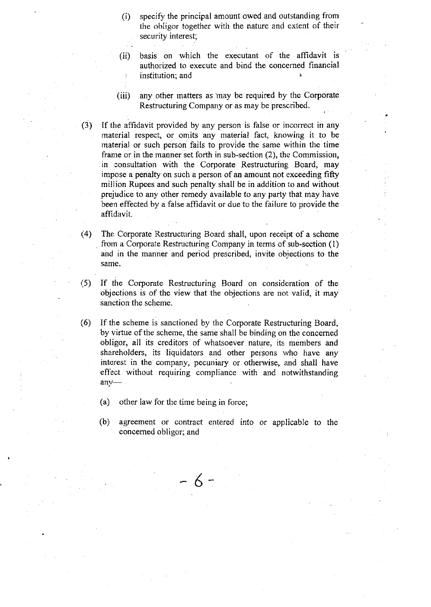- (i) specify the principal amount owed and outstanding from the obligor together with the nature and extent of their security interest;
- (ii) basis on which the executant of the affidavit is authorized to execute and bind the concemed financial institution; and
- (iii) any other mafters as inay be required by the Corporate Restructuring Company or as may be prescribed.
- $(3)$  If the affidavit provided by any person is false or incorrect in any material respect, or omits any material fact, knowing it to be material or such person fails to provide the same within the time frame or in the manner set forth in sub-section (2), the Commission, in consultation with the Corporate Restructuring Board, may impose a penalty on such a person of an amount not exceeding fifty million Rupees and such penalty shall be in addition to and without prejudice to any other remedy available to any party that may have been effected by a false affidavit or due to the failure to provide the affidavit.
- (4) The Corporate Restructuring Board shall, upon receipt of a scherne , fiorn a Corporate Restructuring Company in terms of sub-section (1) and in the manner and period prescribed, invite objections to the same.
- (5) If the Corporate Restructuring Board on considcration of the objections is of the view that the objections are not.valid, it may sanction the scheme.
- (6) If the scheme is sanctioned by the Corporate Restructuring Board, by virtue of the scheme, the same shall be binding on the concerned obligor, all its creditors of whatsoever nature, its members and shareholders, its liquidators and other persons who have any interest in the company, pecuniary or otherwise, and shall have effect without requiring compliance with and notwithstanding any-
	- (a) other law for the time being in force;
	- (b) agreement or contract entered into or applicable to the concemed obligor; and

6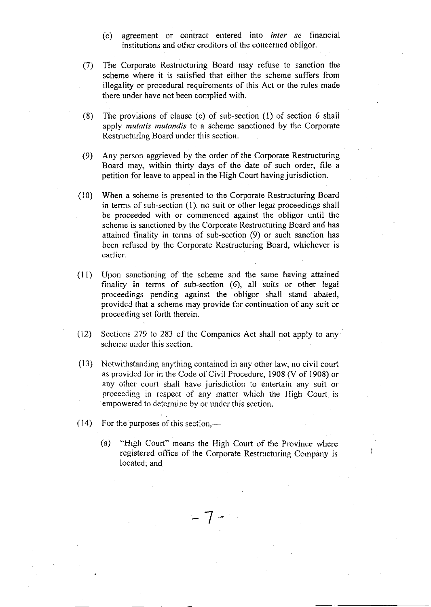- (c) agreement or contract entered into *inter se* financial institutions and other creditors of the concemed obligor.
- (7) The Corporate Restructuring Board may refuse to sanction the scheme where it is satisfied that either the scherne suffers frorn illegality or procedural requirernents of this Act or the rules made there under have not been complied with.
- (8) The provisions of clause (e) of sub-section  $(1)$  of section 6 shall apply *mutatis mutandis* to a scheme sanctioned by the Corporate Restrucfuring Board under this section.
- (9) Any person aggrieved by the order of the Corporate Restructuring Board may, within thirty days of the date of such order, file <sup>a</sup> petition for leave to appeal in the High Court having jurisdiction.
- (10) When a scheme is presented to the Corporate Restructuring Board in terms of sub-section (l), no suit or other legal proceedings shall be proceeded with or commenced against the obligor until the scheme is sanctioned by the Corporate Restructuring Board and has attained finality in tenns of sub-section (9) or such sanction has been refused by the Corporate Restructuring Board, whichever is earlier.
- (11) Upon sanctioning of the scheme and the same having attained finality in terms of sub-section (6), all suits or other legal proceedings pending against the obligor shall stand abated, provided that a scheme may provide for continuation of any suit or proceeding set forth therein.
- (12) Sections 279 to 283 of the Companies Act shall not apply to any scheme under this section.
- (13) Notwithstanding anything contained in any other law, no civil court as provided for in the Code of Civil Procedure, 1908 (V of 1908) or any other court shall have jurisdiction to entertain any suit or proceeding in respect of any matter which the High Court is empowered to determine by or under this seclion.
- $(14)$  For the purposes of this section,—
	- (a) "High Court" means the High Court of the Province where registered office of the Corporate Restructuring Company is located; and

1

t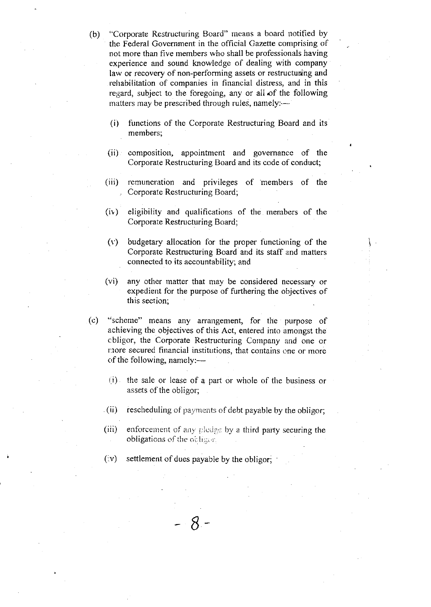- (b) "Corporate Restructuring Board" means a board notified by the Federal Government in the official Gazefte comprising of not more than five members who shall be professionals having experience and sound knowledge of dealing with company law or recovery of non-performing assets or restructuring and rehabilitation of companies in financial distress, and in this regard, subject to the foregoing, any or all of the following matters may be prescribed through rules, namely: $-$ 
	- (i) functions of the Corporate Restructuring Board and its members;
	- (ii) composition, appointment and governance of the Corporate Restructuring Board and its code of conduct;
	- (iii) remuneration and privileges of members of the . Corporate Restructuring Board;
	- (iv) eligibitity and qualifications of the members of the Corporate Restructuring Board;
	- (v) budgetary allocation for the proper functioning of the Corporate Restructuring Board and its stalf and matters connected to its accountability; and

 $\mathbf{I}$ 

- (vi) any other matter that rnay be considered necessary or expedient for the purpose of furthering the objectives of this section;
- (o) "scherne" means any arrangement, for the purpose of achieving the objectives of this Act, entered into amongst the cbligor, the Corporate Restructuring Company and one or more secured financial institutions, that contains one or more of the following, namely: $-$ 
	- $(i)$  the sale or lease of a part or whole of the business or assets of the obligor;
	- (ii) rescheduling of payments of debt payable by the obligor;
	- (iii) enforcement of any pledge by a third party securing the obligations of the obligor.
	- $(iv)$  settlement of dues payable by the obligor;

 $\mho$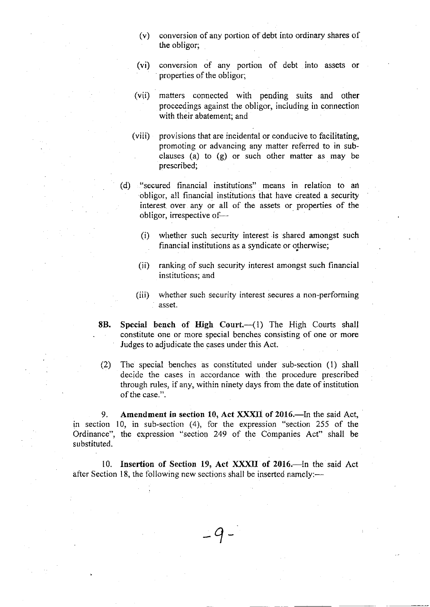- $(v)$  conversion of any portion of debt into ordinary shares of the obligor;
- (vi) conversion of any portion of debt into assets or properties of the obligor;
- (vii) matters connected with pending suits and other proceedings against the obligor, including iu connection with their abatement; and
- (viii) provisions that are incidental or conducive to facilitating, promoting or advancing any matter referred to in subclauses (a) to  $(g)$  or such other matter as may be prescribed;
- (d) "secured financial institutions" means in relation to an obligor, alt financial institutions that have created a security interest over any or all of the assets or properties of the obligor, irrespective of-
	- (i) whether such security interest is shared amongst such financial institutions as a syndicate or otherwise;
	- (ii) ranking of such securify interest amongst such financial institutions; and
	- (iii) whether such security interest secures a non-performing asset.
- 8B. Special bench of High Court.-(1) The High Courts shall constitute one or more special benches consisting of one or more Judges to adjudicate the cases under this Act.
- (2) The special benches as constituted under sub-section (1) shall decide the cases in accordance witl the procedure prescribed through rules, if auy, within ninety days from the date of institution of the case.".

9. in section 10, in sub-section (4), for the expression "section 255 of the Ordinance", the expression "section 249 of the Companies Act" shall be substituted. Amendment in section 10, Act XXXII of 2016.-In the said Act,

10. Insertion of Section 19, Act XXXII of 2016.-In the said Act after Section 18, the following new sections shall be inserted namely:-

 $\overline{q}$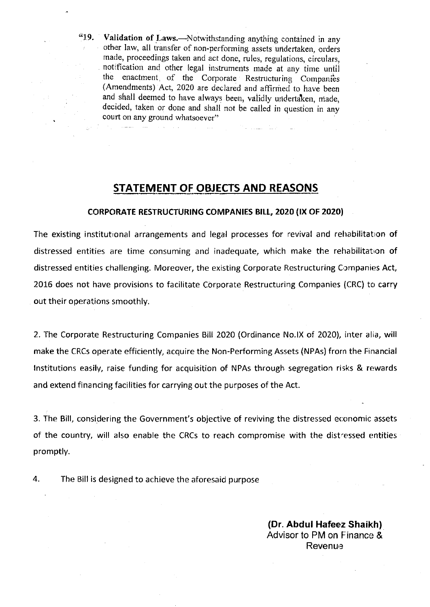"19. Validation of Laws.-Notwithstanding anything contained in any other law, all transfer of non-performing assets undertaken, orders made, proceedings taken and act done, rules, regulations, circulars, the enactment, of the Corporate Restructuring Companies (Amendments) Act, 2020 are declared and affirmed to have been and shall deemed to have always been, vaiidly urldertaken, niade, decided, taken or done and shall not be calied in question in any court on any ground whatsoever"

## STATEMENT OF OBJECTS AND REASONS

#### CORPORATE RESTRUCTURING COMPANIES BILL, 2020 (IX OF 2020)

The existing institutional arrangements and legal processes for revival and rehabilitation of distressed entities are time consuming and inadequate, which make the rehabilitation of distressed entities challenging. Moreover, the existing Corporate Restructuring Companies Act, 2016 does not have provisions to facilitate Corporate Restructuring Companies (CRC) to carry out their operations smoothly.

2. The Corporate Restructuring Companies Bill 2020 (Ordinance No.lX of 2020), inter alia, will make the CRCs operate efficiently, acquire the Non-Performing Assets (NPAs) from the Financial lnstitutions easily, raise funding for acquisition of NPAs through segregation risks & rewards and extend financing facilities for carrying out the purposes of the Act.

3. The Bill, considering the Government's objective of reviving the distressed economic assets of the country, will also enable the CRCs to reach compromise with the distressed entities promptly.

4. The Bill is designed to achieve the aforesaid purpose

(Dr. Abdul Hafeez Shaikh) Advisor to PM on Finance & **Revenue**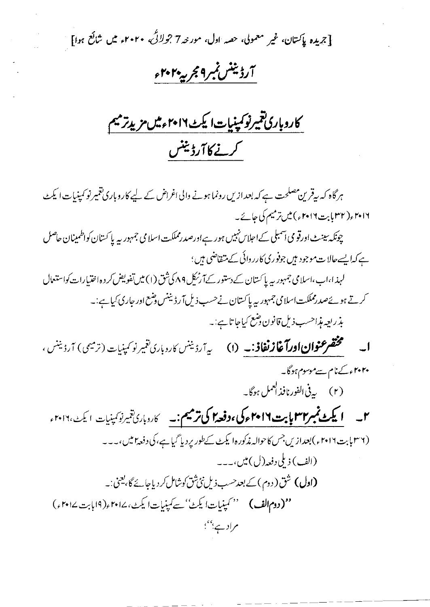[جریدہ پاکستان، غیر معمولی، حصہ اول، مور نیہ7 جولائچ، ۲۰۲۰ء میں شائع ہوا]

# آرڈینٹس نمبر9مجربیہ ۲۰۲۰ء

کاروباری تتمیرنوکمپنیات ایکٹ ۲۰۱۶ءمیں مزید ترمیم كرنے كا آرڈینٹس

ہرگاہ کہ بیقرین مصلحت ہے کہ بعدازیں رونما ہونے والی اغراض کے لیے کاروباری تغییر نو کمپنیات ایکٹ ۲۰۱۶ (۳۲ بابت ۲۰۱۶ م) میں ترمیم کی جائے۔ چونکہ سینٹ اورقو می اسمبلی کے احلاس نہیں ہور ہے اورصدرمملکت اسلا می جمہور بیہ یا کستان کواظمینان حاصل ہے کہا یہےحالات موجود ہیں جوفوری کارروائی کے متفاضی ہیں؛ لہذا،اب،اسلامی جمہور بیہ پاکستان کے دستور کےآرٹیکل ۸۹ کی شق (۱) میں تفویض کر دہ اختیارات کواستعال کرتے ہوئےصدرمملکت اسلامی جمہور پہ پاکستان نےحسب ذیل آرڈیننس وضع اور جاری کیا ہے:۔ بذريعه مذاحسب ذيل قانون دضع كياجا تاہے:۔ **ا۔ مختصر عنوان اورآغازنغاذ:۔ (**۱) ی<sub>ہ آرڈ</sub>ینس کاروباری نتمیر نوکمپنیات (ترمیمی) آرڈینس ، ۲۰۲۰ء کے نام سےموسوم ہوگا۔ (۲) په پې الفورنافذ لعمل ہوگا۔ ۲۔ **ایکٹ نمبر۲۳ بابت ۲۰۱۶ء کی ،دفعہ اکی ترمیم:۔** کاروباری تیمیرنو کمپنیات ایکٹ،۲۰۱۲ء (۳۶) بت۲۰۱۶ء) بعدازیں جس کا حوالہ مذکورہ۱ یکٹ کےطور پردیا گیا ہے، کی دفعہ امیں،۔۔۔ (الف) ذيلي دفعه (ل) ميں،۔۔۔ **(اول)** شق( دوم ) کے بعد حسب ذیل نئ شق کوشامل کر دیا جائے گا، یعنی :۔

''(دومالف) '' کمینیات ایکٹ' سے کمینیات ایکٹ، ۲۰۱۷ء(۱۹بابت ۲۰۱۷ء) مراد ہے؛''؛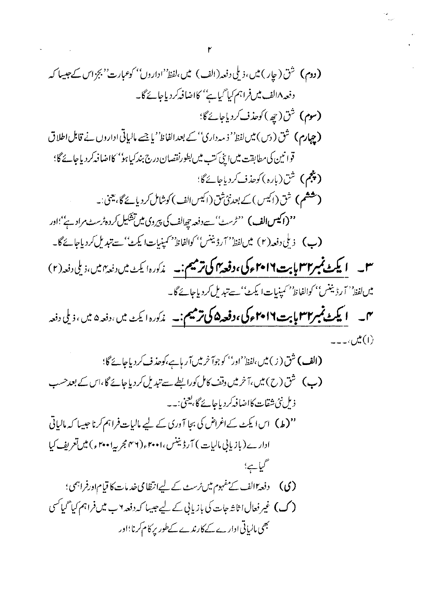7  
\n
$$
r(t) = \int_{0}^{t} (t) \int_{0}^{t} (t) \int_{0}^{t} (t) \int_{0}^{t} (t) \int_{0}^{t} (t) \int_{0}^{t} (t) \int_{0}^{t} (t) \int_{0}^{t} (t) \int_{0}^{t} (t) \int_{0}^{t} (t) \int_{0}^{t} (t) \int_{0}^{t} (t) \int_{0}^{t} (t) \int_{0}^{t} (t) \int_{0}^{t} (t) \int_{0}^{t} (t) \int_{0}^{t} (t) \int_{0}^{t} (t) \int_{0}^{t} (t) \int_{0}^{t} (t) \int_{0}^{t} (t) \int_{0}^{t} (t) \int_{0}^{t} (t) \int_{0}^{t} (t) \int_{0}^{t} (t) \int_{0}^{t} (t) \int_{0}^{t} (t) \int_{0}^{t} (t) \int_{0}^{t} (t) \int_{0}^{t} (t) \int_{0}^{t} (t) \int_{0}^{t} (t) \int_{0}^{t} (t) \int_{0}^{t} (t) \int_{0}^{t} (t) \int_{0}^{t} (t) \int_{0}^{t} (t) \int_{0}^{t} (t) \int_{0}^{t} (t) \int_{0}^{t} (t) \int_{0}^{t} (t) \int_{0}^{t} (t) \int_{0}^{t} (t) \int_{0}^{t} (t) \int_{0}^{t} (t) \int_{0}^{t} (t) \int_{0}^{t} (t) \int_{0}^{t} (t) \int_{0}^{t} (t) \int_{0}^{t} (t) \int_{0}^{t} (t) \int_{0}^{t} (t) \int_{0}^{t} (t) \int_{0}^{t} (t) \int_{0}^{t} (t) \int_{0}^{t} (t) \int_{0}^{t} (t) \int_{0}^{t} (t) \int_{0}^{t} (t) \int_{0}^{t} (t) \int_{0}^{t} (t) \int_{0}^{t} (t) \int_{0}^{t} (t) \int_{0}^{t} (t) \int_{0}^{t} (t) \int_{0}^{t} (t) \int_{0}^{t} (t) \int_{0}^{t} (t) \int
$$

 $\sum_{i=1}^N \frac{1}{\left(\frac{1}{\sqrt{2}}\right)^2} \left(\frac{1}{\sqrt{2}}\right)^2 \left(\frac{1}{\sqrt{2}}\right)^2$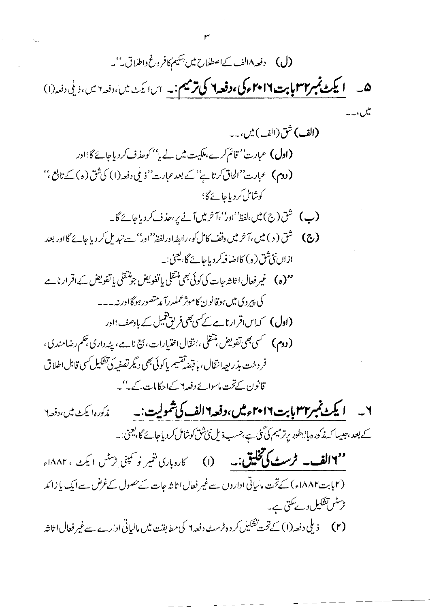''۱**۱۴لف۔ ٹرسٹ کی تخلیق:۔** (۱) کاروباری نتمیر نو کمپنی ٹرسٹس ایکٹ، ۱۸۸۲ء (۲بابت۱۸۸۲ء) کےتحت مالیاتی اداروں سےغیر فعال اثاثہ جات کےحصول کےغرض سے ایک یا زائد ٹرسٹس تشکیل دے تکتی ہے۔ (۲) زیلی دفعہ(۱) کےتحت تشکیل کر دہ ٹرسٹ دفعہ ۲ کی مطابقت میں مالیاتی ادارے سےغیر فعال اثاثہ

٣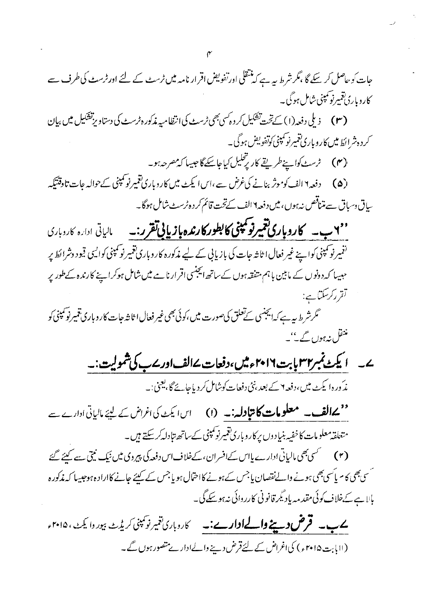| .<br>ن دسباق سے متناقص نہ ہوں ، میں دفعہ ۱۹الف کےتخت قائم کر دہ ٹرسٹ شامل ہوگا۔                                                              |  |
|----------------------------------------------------------------------------------------------------------------------------------------------|--|
| ''۲ ب۔ کاروباری تعمیر تو کھینی کا بطور کارندہ بازیائی تقرر:۔ بالیاتی ادارہ کاروبارڈ                                                          |  |
| <sup>(ن</sup> فیرنو کمپنی کواپنے غیر فعال ا ثاشہ جات کی بازیابی کے لیے مذکورہ کاروباری <i>تغیر نو کمپنی ک</i> وایسی قیود وشرائط <sub>ن</sub> |  |
| <sup>ح</sup> ہیبا کہ دونوں کے مابین باہم متفقہ ہوں کے ساتھ ایجنسی اقرار نامے میں شامل ہوکر اپنے کارندہ کے طور <sub>ب</sub>                   |  |
| - تقرر <i>کرسکتا</i> ہے:                                                                                                                     |  |
| گرشرط پیہ ہے کہ ایجنسی کےتعلق کی صورت میں ،کوئی بھی غیر فعال ا ثاثہ جات کاروباری تنمیرنو کمپنی کا                                            |  |
| منتقل نہ ہوں گے <sup>ئی</sup> ۔                                                                                                              |  |
| <u>ا یکٹ نمبر۳۳ پابت ۲۰۱۹ءمیں،دفعات ۱۷لف اور ۷ ب کی شمولیت :۔</u>                                                                            |  |
| مذکورہ ایکٹ میں،دفعہ Y کے بعد،نئی دفعات کوشامل کردیاجائے گا، یعنی:۔                                                                          |  |
| معملکھان مسلو <b>مات کانپادلہ:۔</b> (۱) اس یکٹ کی اغراض کے لیئے مالیاتی ادارے ۔                                                              |  |
| مت <sub>ن</sub> لقەمعلومات كاخفيە بنیادوں پركاروبارى <sup>تق</sup> مىرنوكمېنى كےساتھ تبادلەكرىكتے ہيں۔                                       |  |
| (۳) سمک بھی مالیاتی ادارے پااس کےافسران، کےخلاف اس دفعہ کی پیروی میں نیک نیتی سے کہنے گئے                                                    |  |
| بھی کام یاؔسی بھی ہونے والےنقصان یا جس کے ہونے کااحتمال ہو یا جس کے کیئے جانے کااراد ہی دجیسا کہ مذکور                                       |  |
| ہے کےخلاف کوئی مقدمہ یاد ٹیمرقانونی کارروائی نہ ہو سکے گی۔                                                                                   |  |
| <b>ے ب۔ قرض دینے والےاوارے:۔</b> کاروباری تغیر نوکمپنی کریڈٹ بیور وایکٹ، ۲۰۱۵                                                                |  |
| (اابابت۵ا ۲۰۱۰ء) کی اغراض کے لئےقرض دینے والےادار پے متصور ہوں گے۔                                                                           |  |
|                                                                                                                                              |  |
|                                                                                                                                              |  |
|                                                                                                                                              |  |
|                                                                                                                                              |  |

- جات کو بھاصل کر سکے گا ،مگر شرط پہ ہے کہ منتقلی اورتفویض اقرار نامہ میں ٹرسٹ کے لئے اور ٹرسٹ کی طرف سے كاروپارېقميرنو<sup>سم</sup>ېنې شامل ہوگی۔
- (۳) زیلی دفعہ (۱) کے تحت تشکیل کر دہ کسی بھی ٹرسٹ کی انتظامیہ مذکور ہڑسٹ کی دستاویز تشکیل میں بیان ۔<br>کرد دشرائط میں کاروباری تعمیرنو کمپنی کوتفویض ہوگی۔
	- (۴) ٹرسٹ کواپنےطریقے کار پ<sup>ت</sup>حلیل کیاجاسکے گاجیسا کہ مصر حدہو۔
- (۵) دفعہ ۱ الف کوموثر بنانے کی *غرض سے ،اس*ا یکٹ میں کاروباری ت<del>نمیر نو کمپنی کے حوالہ عات تاوقتیکہ</del> ساِرْ
- $\mathsf{C}$  $\frac{1}{r}$  $\frac{1}{r}$
- لو
	- ک.

 $\tilde{\epsilon}$ سمسح بالايه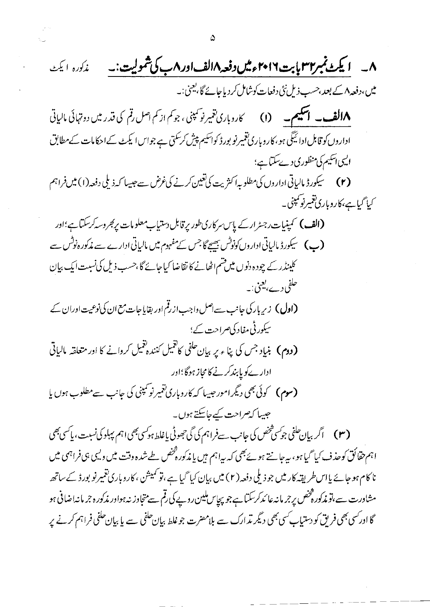$$
\mathbf{A} = \mathbf{A} \mathbf{A} \mathbf{A} \mathbf{A} \mathbf{A} \mathbf{A} \mathbf{A} \mathbf{A} \mathbf{A} \mathbf{A} \mathbf{A} \mathbf{A} \mathbf{A} \mathbf{A} \mathbf{A} \mathbf{A} \mathbf{A} \mathbf{A} \mathbf{A} \mathbf{A} \mathbf{A} \mathbf{A} \mathbf{A} \mathbf{A} \mathbf{A} \mathbf{A} \mathbf{A} \mathbf{A} \mathbf{A} \mathbf{A} \mathbf{A} \mathbf{A} \mathbf{A} \mathbf{A} \mathbf{A} \mathbf{A} \mathbf{A} \mathbf{A} \mathbf{A} \mathbf{A} \mathbf{A} \mathbf{A} \mathbf{A} \mathbf{A} \mathbf{A} \mathbf{A} \mathbf{A} \mathbf{A} \mathbf{A} \mathbf{A} \mathbf{A} \mathbf{A} \mathbf{A} \mathbf{A} \mathbf{A} \mathbf{A} \mathbf{A} \mathbf{A} \mathbf{A} \mathbf{A} \mathbf{A} \mathbf{A} \mathbf{A} \mathbf{A} \mathbf{A} \mathbf{A} \mathbf{A} \mathbf{A} \mathbf{A} \mathbf{A} \mathbf{A} \mathbf{A} \mathbf{A} \mathbf{A} \mathbf{A} \mathbf{A} \mathbf{A} \mathbf{A} \mathbf{A} \mathbf{A} \mathbf{A} \mathbf{A} \mathbf{A} \mathbf{A} \mathbf{A} \mathbf{A} \mathbf{A} \mathbf{A} \mathbf{A} \mathbf{A} \mathbf{A} \mathbf{A} \mathbf{A} \mathbf{A} \mathbf{A} \mathbf{A} \mathbf{A} \mathbf{A} \mathbf{A} \mathbf{A} \mathbf{A} \mathbf{A} \mathbf{A} \mathbf{A} \mathbf{A} \mathbf{A} \mathbf{A} \mathbf{A} \mathbf{A} \mathbf{A} \mathbf{A} \mathbf{A} \mathbf{A} \mathbf{A} \mathbf{A} \mathbf{A} \mathbf{A} \mathbf{A} \mathbf{A} \mathbf{A} \mathbf{A} \mathbf{A} \mathbf{A} \mathbf{A} \mathbf{A} \
$$

 $\mathbb{Z}^2$ 

 $\sim 10$ 

 $\frac{1}{2} \sqrt{2} \, \frac{1}{2} \, \frac{1}{2} \, \frac{1}{2} \, \frac{1}{2} \, \frac{1}{2} \, \frac{1}{2} \, \frac{1}{2} \, \frac{1}{2} \, \frac{1}{2} \, \frac{1}{2} \, \frac{1}{2} \, \frac{1}{2} \, \frac{1}{2} \, \frac{1}{2} \, \frac{1}{2} \, \frac{1}{2} \, \frac{1}{2} \, \frac{1}{2} \, \frac{1}{2} \, \frac{1}{2} \, \frac{1}{2} \, \frac{1}{2} \, \frac{1}{2} \$ 

 $\lambda_{\rm{max}}$ 

 $\frac{d\mathbf{r}}{d\mathbf{r}} = \frac{1}{2} \mathbf{r} \mathbf{r} \mathbf{r}$ 

 $\mathbf{s}^{(i)}$  .

 $\hat{\boldsymbol{\gamma}}$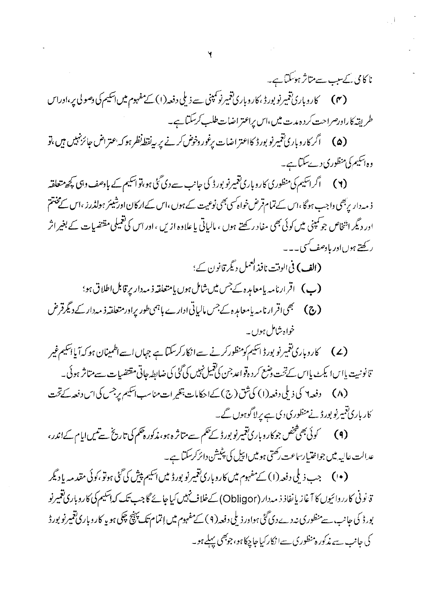نا کامی کے سب سے متاثر ہو کتا ہے۔ (۴) کاروباری تغییر نوبورڈ ،کاروباری تغییر نوکمپنی سے ذیلی دفعہ (۱) کے مفہوم میں اسکیم کی دصولی پر،اوراس طریقہ کاراورصراحت کردہ مدت میں،اس پراعتراضات طلب کرسکتاہے۔

(۵) گرکاروباری تغییرنو بورڈ کااعتراضات پرغور وخوض کرنے پر پی<sup>ن</sup>قطہ نظر ہوکہ <sub>ا</sub>عتراض جائز نہیں ہیں،تو وہ اسکیم کی منظوری دےسکتا ہے۔

(۲) گراسکیم کی منظوری کاروباری تغییرنو بورڈ کی جانب سے دی گئی ہو،تو اسکیم کے بادصف وہی کچھ متعلقہ ذ مہ دار بربھی داجب ہوگا ،اس کے تمام قرض خواہ کسی بھی نوعیت کے ہوں ،اس کےار کان اورشیئر ہولڈرز ،اس کے مختتم اور دیگر انتخاص جو کمپنی میں کوئی بھی مفاد رکھتے ہوں ، مالیاتی یا علاوہ ازیں ،اور اس کی تعمیلی مقتضیات کے بغیراثر رکھتے ہوںاور مادھف کسی۔۔۔

- (الف) في الوقت نافذ العمل ديگر قانون کے؛
- (ب) اقرارنامه یامعاملدہ کے جس میں شامل ہوں یامتعلقہ ذمہ دار پر قابل اطلاق ہو؛
- **(ج) س**مجھی اقرار نامہ پامعام<sub>ی</sub>رہ کے جس مالیاتی ادارے ہاہمی طور پراور متعلقہ ذیبہ دار کے دیگر قرض خواہ شامل ہوں۔

(۷) کاروباری تغییر نو بورڈ اسکیم کومنظور کرنے سےانکارکرسکتا ہے جہاں اسےاطمینان ہو کہ آیا اسکیم غیر تنانونىيت پاسا يكٹ پاس كےتحت دضع كرد ہقواعد جن كی تعمیل نہیں كی گئی كی ضابطہ جاتی مقتضیات سے متاثر ہوئی۔ 

<sup>،</sup> کار باری ت<sup>ق</sup>بیہ نو بورڈ نے منظوری دی ہے پر لاگوہوں گے۔

(۹) گوئی بھی شخص جوکاروباری تغییرنو بورڈ کے حکم سے متاثر ہ ہو، مذکورہ حکم کی تاریخ سے تیس ایام کےاندر ، عدالت عالیہ میں جواختیار ساعت رکھتی ہومیں اپیل کی پٹیشن دائر کرسکتا ہے۔

(•ا) جب ذیلی دفعہ (۱) کے مفہوم میں کاروباری تغییرنو بورڈ میں اسکیم پیش کی گئی ہوتو ،کوئی مقدمہ یا دیگر قانونی کارروائیوں کا آغاز یا نفاذ ذیہ دار (Obligor) کےخلاف نہیں کیاجائے گا جب تک کہ اسکیم کی کاروباری تقمیرنو بور ڈ کی جانب، سے منظوری نہ دے دی گئی ہواور ذیلی دفعہ (۹ ) کے مفہوم میں اِتمام تک پہنچ چکی ہو یہ کار وباری تغییرنو بور ڈ کی جانب سے مذکور ہ منظوری سےانکار کیاجا چکا ہو، جوبھی پہلے ہو۔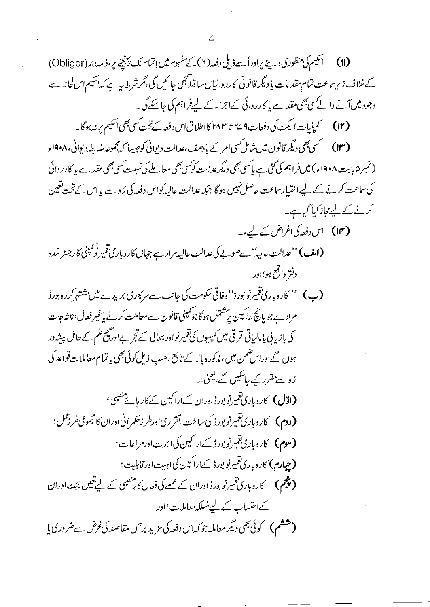کےخلاف زیر ساعت تمام مقد مات یا دیگر قانونی کارروائیاں ساقط بھی جائمیں گی ،گر شرط ہیہ ہے کہ اسکیم اس لحاظ سے وجود میںآنے والے سی بھی مقدمے یا کارروائی کےاجراءکے لیےفراہم کی جاسکے گی۔

(نمبر ۵ بابت ۱۹۰۸ء) میں فراہم کی گئی ہے پاکسی بھی دیگر عدالت کوکسی بھی معاملے کی نسبت کسی بھی مقد ہے یا کارروائی کی ساعت کرنے کے لیے اختیار ساعت حاصل نہیں ہوگا جبکہ عدالت عالیہ کواس دفعہ کی رُوسے پااس کے تحت تعین کرنے کے لیےمجاز کیا گیاہے۔

- (۱۴) اس دفعہ کی اغراض کے لیے،۔ (الف) ''عدالت عالیہ'' سےصوبے کی عدالت عالیہ مراد ہے جہاں کاروباری تغییرنو کمپنی کارجٹر شدہ دفتر داقع ہو؛ادر
- (ب) '' کاروباری تغییرنو بورڈ'' وفاتی حکومت کی جانب سےسرکاری جریدے میں مشتہر کردہ بورڈ مراد ہے جو پانچ اراکین پر مشتمل ہوگا جو کمپنی قانون سےمعاملت کرنے باغیر فعال اثاثہ جات کی بازیابی پا مالیاتی قرقی میں نمپنیوں کی تغییر نواور بحالی کے تجر بےاور پھچے علم کے حامل پیشہ در ہوں گےاوراس ضمن میں، مذکورہ بالا کے تابع ،حسب ذیل کوئی بھی یا تمام معاملات قواعد کی رُ وسے مقرر کیے جاسکیں گے، یعنی:۔ (ا**ڈل)** کاروباری تغییرنو بورڈاوران کےاراکین کے کار ہائے منصبی؛ **( دوم )** کاروباری تغییرنو بورڈ کی ساخت ،تقرری اورطر زحکمرانی اوران کامجموعی *طرزعم*ل ؛ (سوم) کاروباری تغییرنو بورڈ کےاراکین کی اجرت اورمراعات؛ (چهارم) کاروباری تغییرنویورڈ کےاراکین کی اہلیت اورقابلیت؛ **(پنجم)** کاروباری ت<del>نم</del>یرنو بورڈ اوران کے عملے کی فعال کا پ<sup>نص</sup>بی کے لیے تعین بجٹ اوران کےاحتساب کے لیے منسلکہ معاملات؛اور ( ششم ) گوئی بھی دیگر معاملہ جو کہ اس دفعہ کی مزید برآں مقاصد کی *غرض سے ضر*وری یا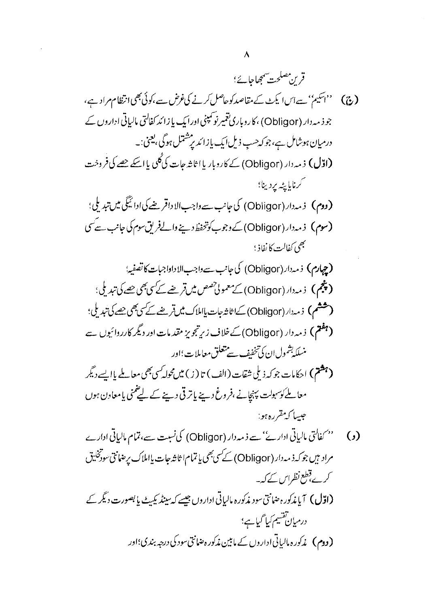(پنجم) زمہ دار (Obligor) کے معمولی *تصص میں قرضے کے کی بھی جھے* کی تبدیلی؛ ( ششم ) ذمہ دار (Obligor) کے اثاثہ جات یا املاک میں قریضے کے سی بھی حصے کی تبدیل ؛ (جفتم) زمہ دار (Obligor) کے خلاف زیر تجویز مقدمات اور دیگر کارروائیوں ہے منسلكه بشمول ان كي تخفف سے متعلق معاملات؛اور

( بِعَثْمٌ ) احکامات جوکہ ذیلی شقات (الف) تا (ز ) میں مُحل بِمِی معاملے پاایسے دیگر معاملے کوسہولت پہنچانے ،فروغ دینے پاتر قی دینے کے لیے منی یامعاون ہوں جيسا كەمقررە ہو:

- '' کفالتی مالیاتی ادار کے' سے ذمہ دار (Obligor) کی نسبت سے، تمام مالیاتی ادارے  $\left( \cdot \right)$ مراد بين جوكه ذمه دار (Obligor) كے سى بھى ياتمام ا ثاثہ جات يااملاك يرضانتى سودڭليق کرے،قطع نظیراس کے کہ یہ (اوّل) آیا مذکور ، صانق سود مذکورہ مالیاتی اداروں جیسے کہ سینڈ یکیٹ یا بصورت دیگر کے درمیان تقسیم کیا گیاہے؛
	- **(دوم) پز**کور ہ مالیاتی اداروں کے مابین مذکور ہضانتی سود کی درجہ بندی؛اور

 $\lambda$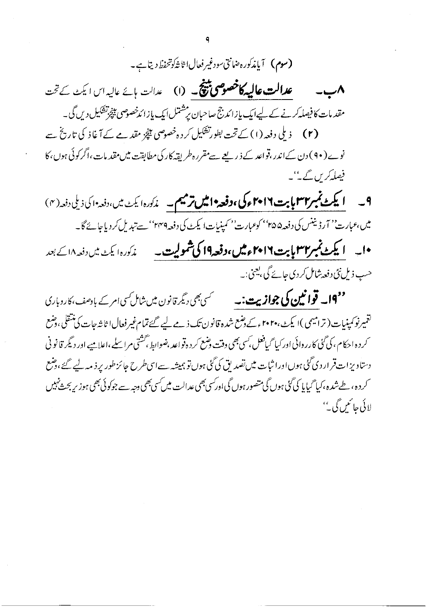عدالت عالیہ کا خصوصی پینچ ۔ (۱) عدالت بائے عالیہ اس ایکٹ کے تحت  $\sim$   $\wedge$ مقدمات کافیصلہ کرنے کے لیےایک بازائدجج صاحبان پر شتمل ایک پازائدخصوصی بیپچرتشکیل دیں گی۔ نوے ( ۹۰ ) دن کےاندر ،قواعد کے ذریعے سےمقررہ طریقہ کار کی مطابقت میں مقد مات ،اگر کوئی ہوں ،کا فیصلہ کریں گے۔''۔

**۹\_\_\_ ایکٹ نمبر۲۳ بابت ۲۰۱۶ءکی ،دفعہ ۱ش ترمیم۔\_** مذکورہ ایکٹ میں،دفعہ ای ذیلی دفعہ (۴) میں،عبارت'' آرڈیننس کی دفعہ۵۵'' کوعبارت'' کمینیات ایکٹ کی دفعہ ۲۴٬۴ سے تبدیل کردیاجائے گا۔ •ا۔ **ایکٹ نمبر۳۲ پابت ۲۰۱۶ءمیں،دفعہ19 کی شمولیت۔** غم<sup>ک</sup>ورہ ایکٹ میں دفعہ ۱۸ کے بعد حسب ذیل نئی دفعہ شامل کر دی جائے گی ، یعنی :۔

<sup>وو</sup>14۔ قوا نیوں کی جوا**زیت:۔** سیسسسسسس بھی <sub>دیگر</sub>قانون میں شامل سی امر کے بادصف،کاروباری تغمیرنو کمپنیات ( ترامیمی )ا یکٹ،۲۰۲۰ءکے دضع شدہ قانون تک ذیے لیے گئےتمام غیر فعال ا ثا شرجات کی تنقلی، دضع ۔<br>کرد ہ احکام ، کی گٹی کارروائی اور کیا گیافعل <sup>ک</sup>سی بھی وقت ضع کرد ہ**تو**اعد ،ضوابط ب<sup>حشتی</sup> م اسلے ،اعلامیے اور دیگر قانونی دستاویزات قرار دی گئی ہوںاورا ثبات میں تصدیق کی گئی ہوں تو ہمیشہ سےاسی طرح جائز طور پر ذیبہ لیے گئے،وشع ۔<br>کردہ، طےشدہ،کیا گیایا کی گئی ہوں گی متصور ہوں گی اور سی بھی عدالت میں سی بھی وجہ سے جوکوئی بھی ہوز پر بحث نہیں لائی جائمیں گی۔''